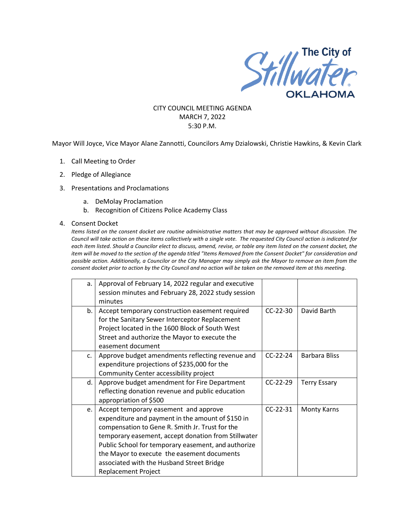

#### CITY COUNCIL MEETING AGENDA MARCH 7, 2022 5:30 P.M.

Mayor Will Joyce, Vice Mayor Alane Zannotti, Councilors Amy Dzialowski, Christie Hawkins, & Kevin Clark

- 1. Call Meeting to Order
- 2. Pledge of Allegiance
- 3. Presentations and Proclamations
	- a. DeMolay Proclamation
	- b. Recognition of Citizens Police Academy Class

#### 4. Consent Docket

*Items listed on the consent docket are routine administrative matters that may be approved without discussion. The Council will take action on these items collectively with a single vote. The requested City Council action is indicated for each item listed. Should a Councilor elect to discuss, amend, revise, or table any item listed on the consent docket, the item will be moved to the section of the agenda titled "Items Removed from the Consent Docket" for consideration and possible action. Additionally, a Councilor or the City Manager may simply ask the Mayor to remove an item from the consent docket prior to action by the City Council and no action will be taken on the removed item at this meeting.*

| a. | Approval of February 14, 2022 regular and executive |            |                      |
|----|-----------------------------------------------------|------------|----------------------|
|    | session minutes and February 28, 2022 study session |            |                      |
|    | minutes                                             |            |                      |
| b. | Accept temporary construction easement required     | $CC-22-30$ | David Barth          |
|    | for the Sanitary Sewer Interceptor Replacement      |            |                      |
|    | Project located in the 1600 Block of South West     |            |                      |
|    | Street and authorize the Mayor to execute the       |            |                      |
|    | easement document                                   |            |                      |
| C. | Approve budget amendments reflecting revenue and    | $CC-22-24$ | <b>Barbara Bliss</b> |
|    | expenditure projections of \$235,000 for the        |            |                      |
|    | Community Center accessibility project              |            |                      |
| d. | Approve budget amendment for Fire Department        | $CC-22-29$ | <b>Terry Essary</b>  |
|    | reflecting donation revenue and public education    |            |                      |
|    | appropriation of \$500                              |            |                      |
| e. | Accept temporary easement and approve               | $CC-22-31$ | <b>Monty Karns</b>   |
|    | expenditure and payment in the amount of \$150 in   |            |                      |
|    | compensation to Gene R. Smith Jr. Trust for the     |            |                      |
|    | temporary easement, accept donation from Stillwater |            |                      |
|    | Public School for temporary easement, and authorize |            |                      |
|    | the Mayor to execute the easement documents         |            |                      |
|    | associated with the Husband Street Bridge           |            |                      |
|    | <b>Replacement Project</b>                          |            |                      |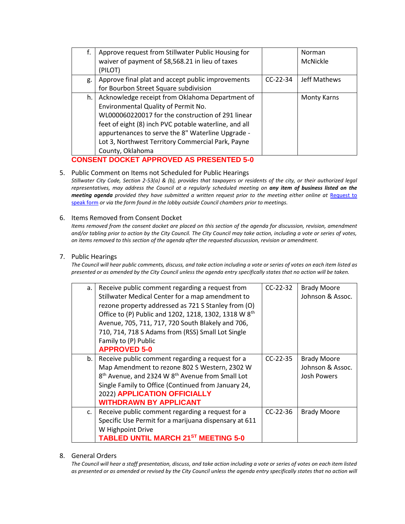| f.                                              | Approve request from Stillwater Public Housing for    |            | Norman             |
|-------------------------------------------------|-------------------------------------------------------|------------|--------------------|
|                                                 | waiver of payment of \$8,568.21 in lieu of taxes      |            | McNickle           |
|                                                 | (PILOT)                                               |            |                    |
| g.                                              | Approve final plat and accept public improvements     | $CC-22-34$ | Jeff Mathews       |
|                                                 | for Bourbon Street Square subdivision                 |            |                    |
| h.                                              | Acknowledge receipt from Oklahoma Department of       |            | <b>Monty Karns</b> |
|                                                 | Environmental Quality of Permit No.                   |            |                    |
|                                                 | WL000060220017 for the construction of 291 linear     |            |                    |
|                                                 | feet of eight (8) inch PVC potable waterline, and all |            |                    |
|                                                 | appurtenances to serve the 8" Waterline Upgrade -     |            |                    |
|                                                 | Lot 3, Northwest Territory Commercial Park, Payne     |            |                    |
|                                                 | County, Oklahoma                                      |            |                    |
| <b>CONSENT DOCKET APPROVED AS PRESENTED 5-0</b> |                                                       |            |                    |

# 5. Public Comment on Items not Scheduled for Public Hearings

*Stillwater City Code, Section 2-53(a) & (b), provides that taxpayers or residents of the city, or their authorized legal representatives, may address the Council at a regularly scheduled meeting on any item of business listed on the meeting agenda provided they have submitted a written request prior to the meeting either online at Request to* [speak form](http://stillwater.org/page/home/government/mayor-city-council/meetings-agendas-minutes/online-request-to-speak-at-city-council) *or via the form found in the lobby outside Council chambers prior to meetings.*

#### 6. Items Removed from Consent Docket

*Items removed from the consent docket are placed on this section of the agenda for discussion, revision, amendment and/or tabling prior to action by the City Council. The City Council may take action, including a vote or series of votes, on items removed to this section of the agenda after the requested discussion, revision or amendment.*

#### 7. Public Hearings

*The Council will hear public comments, discuss, and take action including a vote or series of votes on each item listed as presented or as amended by the City Council unless the agenda entry specifically states that no action will be taken.*

| a.          | Receive public comment regarding a request from<br>Stillwater Medical Center for a map amendment to<br>rezone property addressed as 721 S Stanley from (O)<br>Office to (P) Public and 1202, 1218, 1302, 1318 W 8th<br>Avenue, 705, 711, 717, 720 South Blakely and 706,<br>710, 714, 718 S Adams from (RSS) Small Lot Single<br>Family to (P) Public<br><b>APPROVED 5-0</b> | $CC-22-32$ | <b>Brady Moore</b><br>Johnson & Assoc.                       |
|-------------|------------------------------------------------------------------------------------------------------------------------------------------------------------------------------------------------------------------------------------------------------------------------------------------------------------------------------------------------------------------------------|------------|--------------------------------------------------------------|
| b.          | Receive public comment regarding a request for a<br>Map Amendment to rezone 802 S Western, 2302 W<br>8 <sup>th</sup> Avenue, and 2324 W 8 <sup>th</sup> Avenue from Small Lot<br>Single Family to Office (Continued from January 24,<br>2022) APPLICATION OFFICIALLY<br><b>WITHDRAWN BY APPLICANT</b>                                                                        | $CC-22-35$ | <b>Brady Moore</b><br>Johnson & Assoc.<br><b>Josh Powers</b> |
| $C_{\star}$ | Receive public comment regarding a request for a<br>Specific Use Permit for a marijuana dispensary at 611<br>W Highpoint Drive<br>TABLED UNTIL MARCH 21 <sup>ST</sup> MEETING 5-0                                                                                                                                                                                            | $CC-22-36$ | <b>Brady Moore</b>                                           |

#### 8. General Orders

*The Council will hear a staff presentation, discuss, and take action including a vote or series of votes on each item listed*  as presented or as amended or revised by the City Council unless the agenda entry specifically states that no action will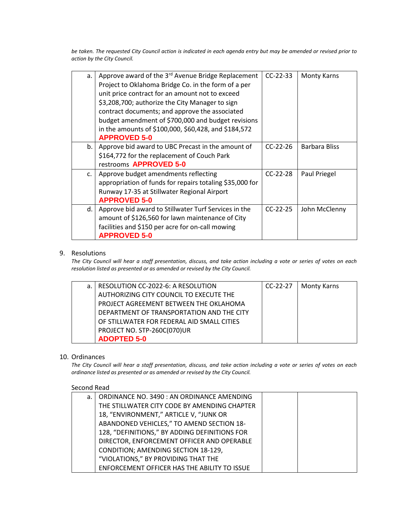*be taken. The requested City Council action is indicated in each agenda entry but may be amended or revised prior to action by the City Council.* 

| a.            | Approve award of the $3^{rd}$ Avenue Bridge Replacement<br>Project to Oklahoma Bridge Co. in the form of a per<br>unit price contract for an amount not to exceed<br>\$3,208,700; authorize the City Manager to sign<br>contract documents; and approve the associated<br>budget amendment of \$700,000 and budget revisions<br>in the amounts of \$100,000, \$60,428, and \$184,572<br><b>APPROVED 5-0</b> | $CC-22-33$ | <b>Monty Karns</b> |
|---------------|-------------------------------------------------------------------------------------------------------------------------------------------------------------------------------------------------------------------------------------------------------------------------------------------------------------------------------------------------------------------------------------------------------------|------------|--------------------|
| b.            | Approve bid award to UBC Precast in the amount of<br>\$164,772 for the replacement of Couch Park<br>restrooms APPROVED 5-0                                                                                                                                                                                                                                                                                  | $CC-22-26$ | Barbara Bliss      |
| $C_{\bullet}$ | Approve budget amendments reflecting<br>appropriation of funds for repairs totaling \$35,000 for<br>Runway 17-35 at Stillwater Regional Airport<br><b>APPROVED 5-0</b>                                                                                                                                                                                                                                      | $CC-22-28$ | Paul Priegel       |
| d.            | Approve bid award to Stillwater Turf Services in the<br>amount of \$126,560 for lawn maintenance of City<br>facilities and \$150 per acre for on-call mowing<br><b>APPROVED 5-0</b>                                                                                                                                                                                                                         | $CC-22-25$ | John McClenny      |

## 9. Resolutions

*The City Council will hear a staff presentation, discuss, and take action including a vote or series of votes on each resolution listed as presented or as amended or revised by the City Council.* 

| a.   RESOLUTION CC-2022-6: A RESOLUTION    | $CC-22-27$ | <b>Monty Karns</b> |
|--------------------------------------------|------------|--------------------|
| AUTHORIZING CITY COUNCIL TO EXECUTE THE    |            |                    |
| PROJECT AGREEMENT BETWEEN THE OKLAHOMA     |            |                    |
| DEPARTMENT OF TRANSPORTATION AND THE CITY  |            |                    |
| OF STILLWATER FOR FEDERAL AID SMALL CITIES |            |                    |
| PROJECT NO. STP-260C(070)UR                |            |                    |
| <b>ADOPTED 5-0</b>                         |            |                    |

## 10. Ordinances

*The City Council will hear a staff presentation, discuss, and take action including a vote or series of votes on each ordinance listed as presented or as amended or revised by the City Council.*

## Second Read

| a. | ORDINANCE NO. 3490 : AN ORDINANCE AMENDING    |  |
|----|-----------------------------------------------|--|
|    | THE STILLWATER CITY CODE BY AMENDING CHAPTER  |  |
|    | 18, "ENVIRONMENT," ARTICLE V, "JUNK OR        |  |
|    | ABANDONED VEHICLES," TO AMEND SECTION 18-     |  |
|    | 128, "DEFINITIONS," BY ADDING DEFINITIONS FOR |  |
|    | DIRECTOR, ENFORCEMENT OFFICER AND OPERABLE    |  |
|    | <b>CONDITION; AMENDING SECTION 18-129,</b>    |  |
|    | "VIOLATIONS," BY PROVIDING THAT THE           |  |
|    | ENFORCEMENT OFFICER HAS THE ABILITY TO ISSUE  |  |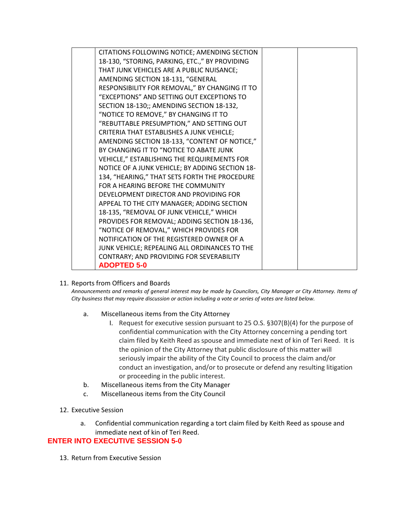| CITATIONS FOLLOWING NOTICE; AMENDING SECTION    |  |
|-------------------------------------------------|--|
| 18-130, "STORING, PARKING, ETC.," BY PROVIDING  |  |
| THAT JUNK VEHICLES ARE A PUBLIC NUISANCE;       |  |
| AMENDING SECTION 18-131, "GENERAL               |  |
|                                                 |  |
| RESPONSIBILITY FOR REMOVAL," BY CHANGING IT TO  |  |
| "EXCEPTIONS" AND SETTING OUT EXCEPTIONS TO      |  |
| SECTION 18-130;; AMENDING SECTION 18-132,       |  |
| "NOTICE TO REMOVE," BY CHANGING IT TO           |  |
| "REBUTTABLE PRESUMPTION," AND SETTING OUT       |  |
| CRITERIA THAT ESTABLISHES A JUNK VEHICLE;       |  |
| AMENDING SECTION 18-133, "CONTENT OF NOTICE,"   |  |
| BY CHANGING IT TO "NOTICE TO ABATE JUNK         |  |
| VEHICLE," ESTABLISHING THE REQUIREMENTS FOR     |  |
| NOTICE OF A JUNK VEHICLE; BY ADDING SECTION 18- |  |
| 134, "HEARING," THAT SETS FORTH THE PROCEDURE   |  |
| FOR A HEARING BEFORE THE COMMUNITY              |  |
| DEVELOPMENT DIRECTOR AND PROVIDING FOR          |  |
| APPEAL TO THE CITY MANAGER; ADDING SECTION      |  |
| 18-135, "REMOVAL OF JUNK VEHICLE," WHICH        |  |
| PROVIDES FOR REMOVAL; ADDING SECTION 18-136,    |  |
| "NOTICE OF REMOVAL," WHICH PROVIDES FOR         |  |
| NOTIFICATION OF THE REGISTERED OWNER OF A       |  |
| JUNK VEHICLE; REPEALING ALL ORDINANCES TO THE   |  |
| CONTRARY; AND PROVIDING FOR SEVERABILITY        |  |
| <b>ADOPTED 5-0</b>                              |  |
|                                                 |  |

## 11. Reports from Officers and Boards

*Announcements and remarks of general interest may be made by Councilors, City Manager or City Attorney. Items of City business that may require discussion or action including a vote or series of votes are listed below.*

- a. Miscellaneous items from the City Attorney
	- I. Request for executive session pursuant to 25 O.S. §307(B)(4) for the purpose of confidential communication with the City Attorney concerning a pending tort claim filed by Keith Reed as spouse and immediate next of kin of Teri Reed. It is the opinion of the City Attorney that public disclosure of this matter will seriously impair the ability of the City Council to process the claim and/or conduct an investigation, and/or to prosecute or defend any resulting litigation or proceeding in the public interest.
- b. Miscellaneous items from the City Manager
- c. Miscellaneous items from the City Council
- 12. Executive Session
	- a. Confidential communication regarding a tort claim filed by Keith Reed as spouse and immediate next of kin of Teri Reed.

# **ENTER INTO EXECUTIVE SESSION 5-0**

13. Return from Executive Session